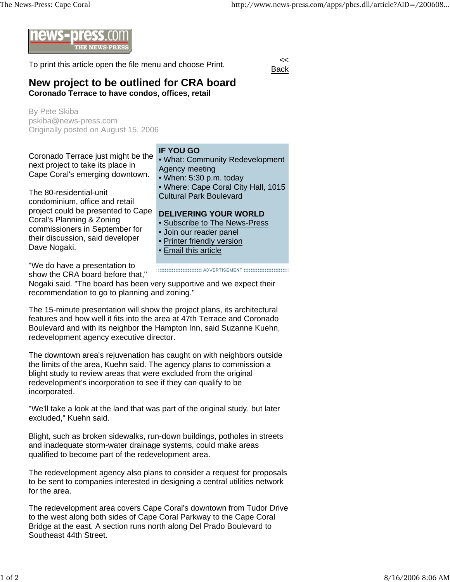

To print this article open the file menu and choose Print.

**Back** 

## **New project to be outlined for CRA board Coronado Terrace to have condos, offices, retail**

By Pete Skiba pskiba@news-press.com Originally posted on August 15, 2006

Coronado Terrace just might be the next project to take its place in Cape Coral's emerging downtown.

The 80-residential-unit condominium, office and retail project could be presented to Cape Coral's Planning & Zoning commissioners in September for their discussion, said developer Dave Nogaki.

**IF YOU GO**

• What: Community Redevelopment Agency meeting

• When: 5:30 p.m. today

• Where: Cape Coral City Hall, 1015 Cultural Park Boulevard

## **DELIVERING YOUR WORLD**

- Subscribe to The News-Press
- Join our reader panel
- **Printer friendly version**
- Email this article

"We do have a presentation to show the CRA board before that,"

Nogaki said. "The board has been very supportive and we expect their recommendation to go to planning and zoning."

The 15-minute presentation will show the project plans, its architectural features and how well it fits into the area at 47th Terrace and Coronado Boulevard and with its neighbor the Hampton Inn, said Suzanne Kuehn, redevelopment agency executive director.

The downtown area's rejuvenation has caught on with neighbors outside the limits of the area, Kuehn said. The agency plans to commission a blight study to review areas that were excluded from the original redevelopment's incorporation to see if they can qualify to be incorporated.

"We'll take a look at the land that was part of the original study, but later excluded," Kuehn said.

Blight, such as broken sidewalks, run-down buildings, potholes in streets and inadequate storm-water drainage systems, could make areas qualified to become part of the redevelopment area.

The redevelopment agency also plans to consider a request for proposals to be sent to companies interested in designing a central utilities network for the area.

The redevelopment area covers Cape Coral's downtown from Tudor Drive to the west along both sides of Cape Coral Parkway to the Cape Coral Bridge at the east. A section runs north along Del Prado Boulevard to Southeast 44th Street.